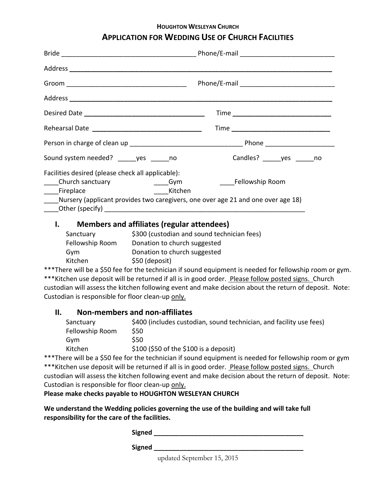# **HOUGHTON WESLEYAN CHURCH APPLICATION FOR WEDDING USE OF CHURCH FACILITIES**

| Sound system needed? _____yes ______no                                              | Candles? yes no |
|-------------------------------------------------------------------------------------|-----------------|
| Facilities desired (please check all applicable):                                   |                 |
| ____Church sanctuary                                                                |                 |
|                                                                                     |                 |
| ___Nursery (applicant provides two caregivers, one over age 21 and one over age 18) |                 |
|                                                                                     |                 |
|                                                                                     |                 |

### **I. Members and affiliates (regular attendees)**

| Sanctuary       | \$300 (custodian and sound technician fees) |
|-----------------|---------------------------------------------|
| Fellowship Room | Donation to church suggested                |
| Gvm             | Donation to church suggested                |
| Kitchen         | \$50 (deposit)                              |

\*\*\*There will be a \$50 fee for the technician if sound equipment is needed for fellowship room or gym. \*\*\*Kitchen use deposit will be returned if all is in good order. Please follow posted signs. Church custodian will assess the kitchen following event and make decision about the return of deposit. Note: Custodian is responsible for floor clean-up only.

### **II. Non-members and non-affiliates**

| Sanctuary       | \$400 (includes custodian, sound technician, and facility use fees) |
|-----------------|---------------------------------------------------------------------|
| Fellowship Room | S50                                                                 |
| Gvm             | S50.                                                                |
| Kitchen         | $$100$ (\$50 of the \$100 is a deposit)                             |
|                 |                                                                     |

\*\*\*There will be a \$50 fee for the technician if sound equipment is needed for fellowship room or gym \*\*\*Kitchen use deposit will be returned if all is in good order. Please follow posted signs. Church custodian will assess the kitchen following event and make decision about the return of deposit. Note: Custodian is responsible for floor clean-up only.

#### **Please make checks payable to HOUGHTON WESLEYAN CHURCH**

**We understand the Wedding policies governing the use of the building and will take full responsibility for the care of the facilities.**

**Signed \_\_\_\_\_\_\_\_\_\_\_\_\_\_\_\_\_\_\_\_\_\_\_\_\_\_\_\_\_\_\_\_\_\_\_\_\_\_\_\_\_**

**Signed \_\_\_\_\_\_\_\_\_\_\_\_\_\_\_\_\_\_\_\_\_\_\_\_\_\_\_\_\_\_\_\_\_\_\_\_\_\_\_\_\_**

updated September 15, 2015